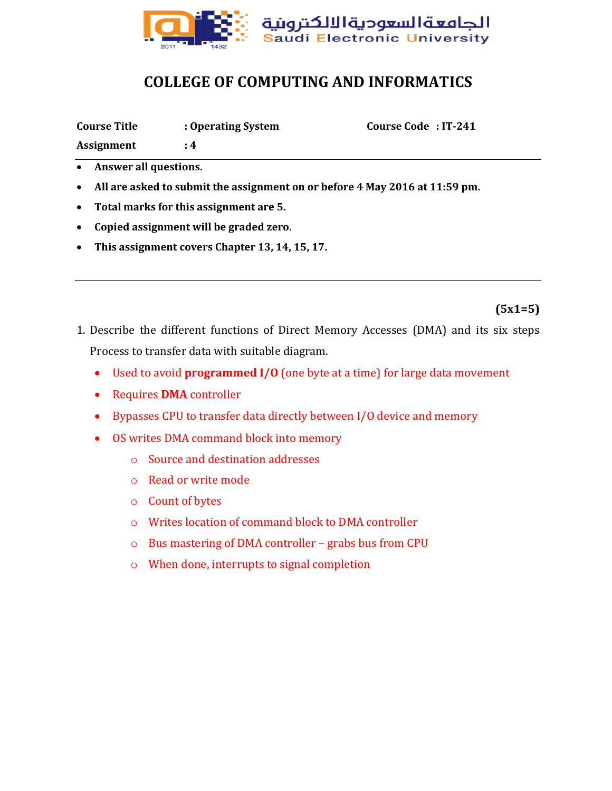

## **COLLEGE OF COMPUTING AND INFORMATICS**

| Course Code: IT-241<br><b>Course Title</b><br>: Operating System |  |  |  |
|------------------------------------------------------------------|--|--|--|
|------------------------------------------------------------------|--|--|--|

**Assignment : 4**

- **Answer all questions.**
- **All are asked to submit the assignment on or before 4 May 2016 at 11:59 pm.**
- **Total marks for this assignment are 5.**
- **Copied assignment will be graded zero.**
- **This assignment covers Chapter 13, 14, 15, 17.**

## **(5x1=5)**

- 1. Describe the different functions of Direct Memory Accesses (DMA) and its six steps Process to transfer data with suitable diagram.
	- Used to avoid **programmed I/O** (one byte at a time) for large data movement
	- Requires **DMA** controller
	- Bypasses CPU to transfer data directly between I/O device and memory
	- OS writes DMA command block into memory
		- o Source and destination addresses
		- o Read or write mode
		- o Count of bytes
		- o Writes location of command block to DMA controller
		- o Bus mastering of DMA controller grabs bus from CPU
		- o When done, interrupts to signal completion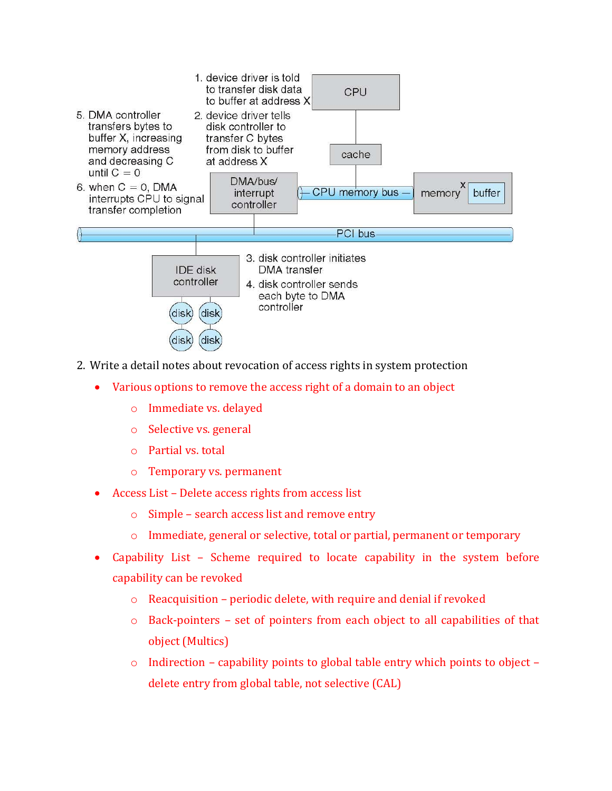

- 2. Write a detail notes about revocation of access rights in system protection
	- Various options to remove the access right of a domain to an object
		- o Immediate vs. delayed
		- o Selective vs. general
		- o Partial vs. total
		- o Temporary vs. permanent
	- Access List Delete access rights from access list
		- o Simple search access list and remove entry
		- o Immediate, general or selective, total or partial, permanent or temporary
	- Capability List Scheme required to locate capability in the system before capability can be revoked
		- o Reacquisition periodic delete, with require and denial if revoked
		- o Back-pointers set of pointers from each object to all capabilities of that object (Multics)
		- o Indirection capability points to global table entry which points to object delete entry from global table, not selective (CAL)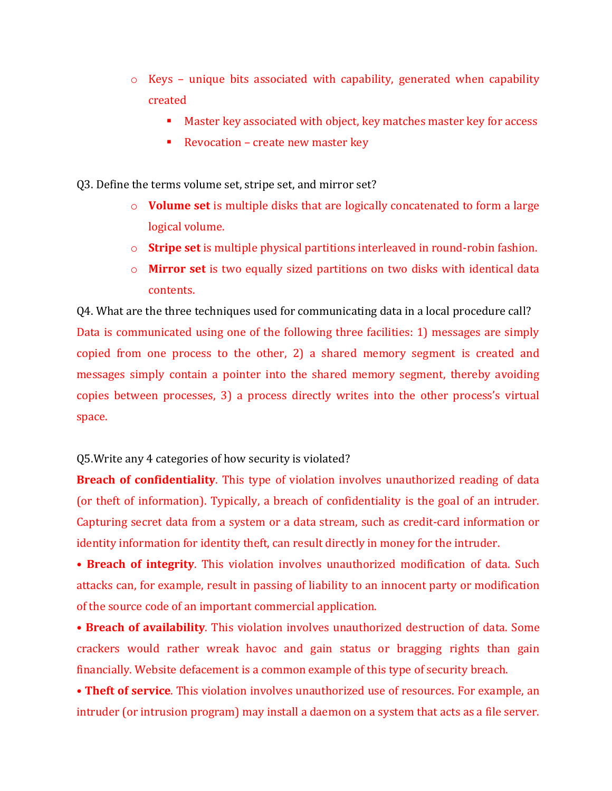- o Keys unique bits associated with capability, generated when capability created
	- Master key associated with object, key matches master key for access
	- Revocation create new master key

Q3. Define the terms volume set, stripe set, and mirror set?

- o **Volume set** is multiple disks that are logically concatenated to form a large logical volume.
- o **Stripe set** is multiple physical partitions interleaved in round-robin fashion.
- o **Mirror set** is two equally sized partitions on two disks with identical data contents.

Q4. What are the three techniques used for communicating data in a local procedure call? Data is communicated using one of the following three facilities: 1) messages are simply copied from one process to the other, 2) a shared memory segment is created and messages simply contain a pointer into the shared memory segment, thereby avoiding copies between processes, 3) a process directly writes into the other process's virtual space.

Q5.Write any 4 categories of how security is violated?

**Breach of confidentiality**. This type of violation involves unauthorized reading of data (or theft of information). Typically, a breach of confidentiality is the goal of an intruder. Capturing secret data from a system or a data stream, such as credit-card information or identity information for identity theft, can result directly in money for the intruder.

• **Breach of integrity**. This violation involves unauthorized modification of data. Such attacks can, for example, result in passing of liability to an innocent party or modification of the source code of an important commercial application.

• **Breach of availability**. This violation involves unauthorized destruction of data. Some crackers would rather wreak havoc and gain status or bragging rights than gain financially. Website defacement is a common example of this type of security breach.

• **Theft of service**. This violation involves unauthorized use of resources. For example, an intruder (or intrusion program) may install a daemon on a system that acts as a file server.